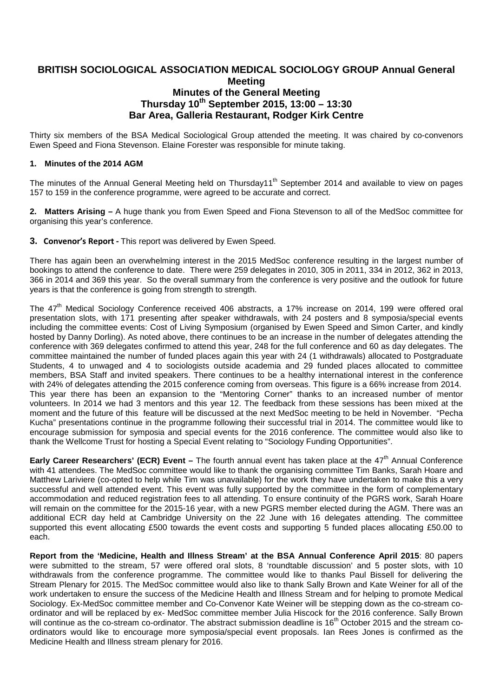# **BRITISH SOCIOLOGICAL ASSOCIATION MEDICAL SOCIOLOGY GROUP Annual General Meeting Minutes of the General Meeting Thursday 10th September 2015, 13:00 – 13:30 Bar Area, Galleria Restaurant, Rodger Kirk Centre**

Thirty six members of the BSA Medical Sociological Group attended the meeting. It was chaired by co-convenors Ewen Speed and Fiona Stevenson. Elaine Forester was responsible for minute taking.

#### **1. Minutes of the 2014 AGM**

The minutes of the Annual General Meeting held on Thursday11<sup>th</sup> September 2014 and available to view on pages 157 to 159 in the conference programme, were agreed to be accurate and correct.

**2. Matters Arising –** A huge thank you from Ewen Speed and Fiona Stevenson to all of the MedSoc committee for organising this year's conference.

**3. Convenor's Report -** This report was delivered by Ewen Speed.

There has again been an overwhelming interest in the 2015 MedSoc conference resulting in the largest number of bookings to attend the conference to date. There were 259 delegates in 2010, 305 in 2011, 334 in 2012, 362 in 2013, 366 in 2014 and 369 this year. So the overall summary from the conference is very positive and the outlook for future years is that the conference is going from strength to strength.

The 47<sup>th</sup> Medical Sociology Conference received 406 abstracts, a 17% increase on 2014, 199 were offered oral presentation slots, with 171 presenting after speaker withdrawals, with 24 posters and 8 symposia/special events including the committee events: Cost of Living Symposium (organised by Ewen Speed and Simon Carter, and kindly hosted by Danny Dorling). As noted above, there continues to be an increase in the number of delegates attending the conference with 369 delegates confirmed to attend this year, 248 for the full conference and 60 as day delegates. The committee maintained the number of funded places again this year with 24 (1 withdrawals) allocated to Postgraduate Students, 4 to unwaged and 4 to sociologists outside academia and 29 funded places allocated to committee members, BSA Staff and invited speakers. There continues to be a healthy international interest in the conference with 24% of delegates attending the 2015 conference coming from overseas. This figure is a 66% increase from 2014. This year there has been an expansion to the "Mentoring Corner" thanks to an increased number of mentor volunteers. In 2014 we had 3 mentors and this year 12. The feedback from these sessions has been mixed at the moment and the future of this feature will be discussed at the next MedSoc meeting to be held in November. "Pecha Kucha" presentations continue in the programme following their successful trial in 2014. The committee would like to encourage submission for symposia and special events for the 2016 conference. The committee would also like to thank the Wellcome Trust for hosting a Special Event relating to "Sociology Funding Opportunities".

**Early Career Researchers' (ECR) Event –** The fourth annual event has taken place at the 47<sup>th</sup> Annual Conference with 41 attendees. The MedSoc committee would like to thank the organising committee Tim Banks, Sarah Hoare and Matthew Lariviere (co-opted to help while Tim was unavailable) for the work they have undertaken to make this a very successful and well attended event. This event was fully supported by the committee in the form of complementary accommodation and reduced registration fees to all attending. To ensure continuity of the PGRS work, Sarah Hoare will remain on the committee for the 2015-16 year, with a new PGRS member elected during the AGM. There was an additional ECR day held at Cambridge University on the 22 June with 16 delegates attending. The committee supported this event allocating £500 towards the event costs and supporting 5 funded places allocating £50.00 to each.

**Report from the 'Medicine, Health and Illness Stream' at the BSA Annual Conference April 2015**: 80 papers were submitted to the stream, 57 were offered oral slots, 8 'roundtable discussion' and 5 poster slots, with 10 withdrawals from the conference programme. The committee would like to thanks Paul Bissell for delivering the Stream Plenary for 2015. The MedSoc committee would also like to thank Sally Brown and Kate Weiner for all of the work undertaken to ensure the success of the Medicine Health and Illness Stream and for helping to promote Medical Sociology. Ex-MedSoc committee member and Co-Convenor Kate Weiner will be stepping down as the co-stream coordinator and will be replaced by ex- MedSoc committee member Julia Hiscock for the 2016 conference. Sally Brown will continue as the co-stream co-ordinator. The abstract submission deadline is 16<sup>th</sup> October 2015 and the stream coordinators would like to encourage more symposia/special event proposals. Ian Rees Jones is confirmed as the Medicine Health and Illness stream plenary for 2016.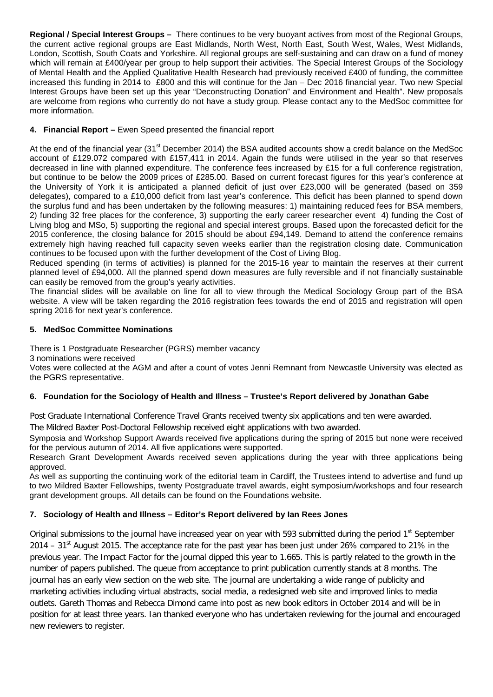**Regional / Special Interest Groups –** There continues to be very buoyant actives from most of the Regional Groups, the current active regional groups are East Midlands, North West, North East, South West, Wales, West Midlands, London, Scottish, South Coats and Yorkshire. All regional groups are self-sustaining and can draw on a fund of money which will remain at £400/year per group to help support their activities. The Special Interest Groups of the Sociology of Mental Health and the Applied Qualitative Health Research had previously received £400 of funding, the committee increased this funding in 2014 to £800 and this will continue for the Jan – Dec 2016 financial year. Two new Special Interest Groups have been set up this year "Deconstructing Donation" and Environment and Health". New proposals are welcome from regions who currently do not have a study group. Please contact any to the MedSoc committee for more information.

# **4. Financial Report –** Ewen Speed presented the financial report

At the end of the financial year (31<sup>st</sup> December 2014) the BSA audited accounts show a credit balance on the MedSoc account of £129.072 compared with £157,411 in 2014. Again the funds were utilised in the year so that reserves decreased in line with planned expenditure. The conference fees increased by £15 for a full conference registration, but continue to be below the 2009 prices of £285.00. Based on current forecast figures for this year's conference at the University of York it is anticipated a planned deficit of just over £23,000 will be generated (based on 359 delegates), compared to a £10,000 deficit from last year's conference. This deficit has been planned to spend down the surplus fund and has been undertaken by the following measures: 1) maintaining reduced fees for BSA members, 2) funding 32 free places for the conference, 3) supporting the early career researcher event 4) funding the Cost of Living blog and MSo, 5) supporting the regional and special interest groups. Based upon the forecasted deficit for the 2015 conference, the closing balance for 2015 should be about £94,149. Demand to attend the conference remains extremely high having reached full capacity seven weeks earlier than the registration closing date. Communication continues to be focused upon with the further development of the Cost of Living Blog.

Reduced spending (in terms of activities) is planned for the 2015-16 year to maintain the reserves at their current planned level of £94,000. All the planned spend down measures are fully reversible and if not financially sustainable can easily be removed from the group's yearly activities.

The financial slides will be available on line for all to view through the Medical Sociology Group part of the BSA website. A view will be taken regarding the 2016 registration fees towards the end of 2015 and registration will open spring 2016 for next year's conference.

### **5. MedSoc Committee Nominations**

There is 1 Postgraduate Researcher (PGRS) member vacancy

3 nominations were received

Votes were collected at the AGM and after a count of votes Jenni Remnant from Newcastle University was elected as the PGRS representative.

### **6. Foundation for the Sociology of Health and Illness – Trustee's Report delivered by Jonathan Gabe**

Post Graduate International Conference Travel Grants received twenty six applications and ten were awarded.

The Mildred Baxter Post-Doctoral Fellowship received eight applications with two awarded.

Symposia and Workshop Support Awards received five applications during the spring of 2015 but none were received for the pervious autumn of 2014. All five applications were supported.

Research Grant Development Awards received seven applications during the year with three applications being approved.

As well as supporting the continuing work of the editorial team in Cardiff, the Trustees intend to advertise and fund up to two Mildred Baxter Fellowships, twenty Postgraduate travel awards, eight symposium/workshops and four research grant development groups. All details can be found on the Foundations website.

# **7. Sociology of Health and Illness – Editor's Report delivered by Ian Rees Jones**

Original submissions to the journal have increased year on year with 593 submitted during the period 1<sup>st</sup> September 2014 – 31<sup>st</sup> August 2015. The acceptance rate for the past year has been just under 26% compared to 21% in the previous year. The Impact Factor for the journal dipped this year to 1.665. This is partly related to the growth in the number of papers published. The queue from acceptance to print publication currently stands at 8 months. The journal has an early view section on the web site. The journal are undertaking a wide range of publicity and marketing activities including virtual abstracts, social media, a redesigned web site and improved links to media outlets. Gareth Thomas and Rebecca Dimond came into post as new book editors in October 2014 and will be in position for at least three years. Ian thanked everyone who has undertaken reviewing for the journal and encouraged new reviewers to register.